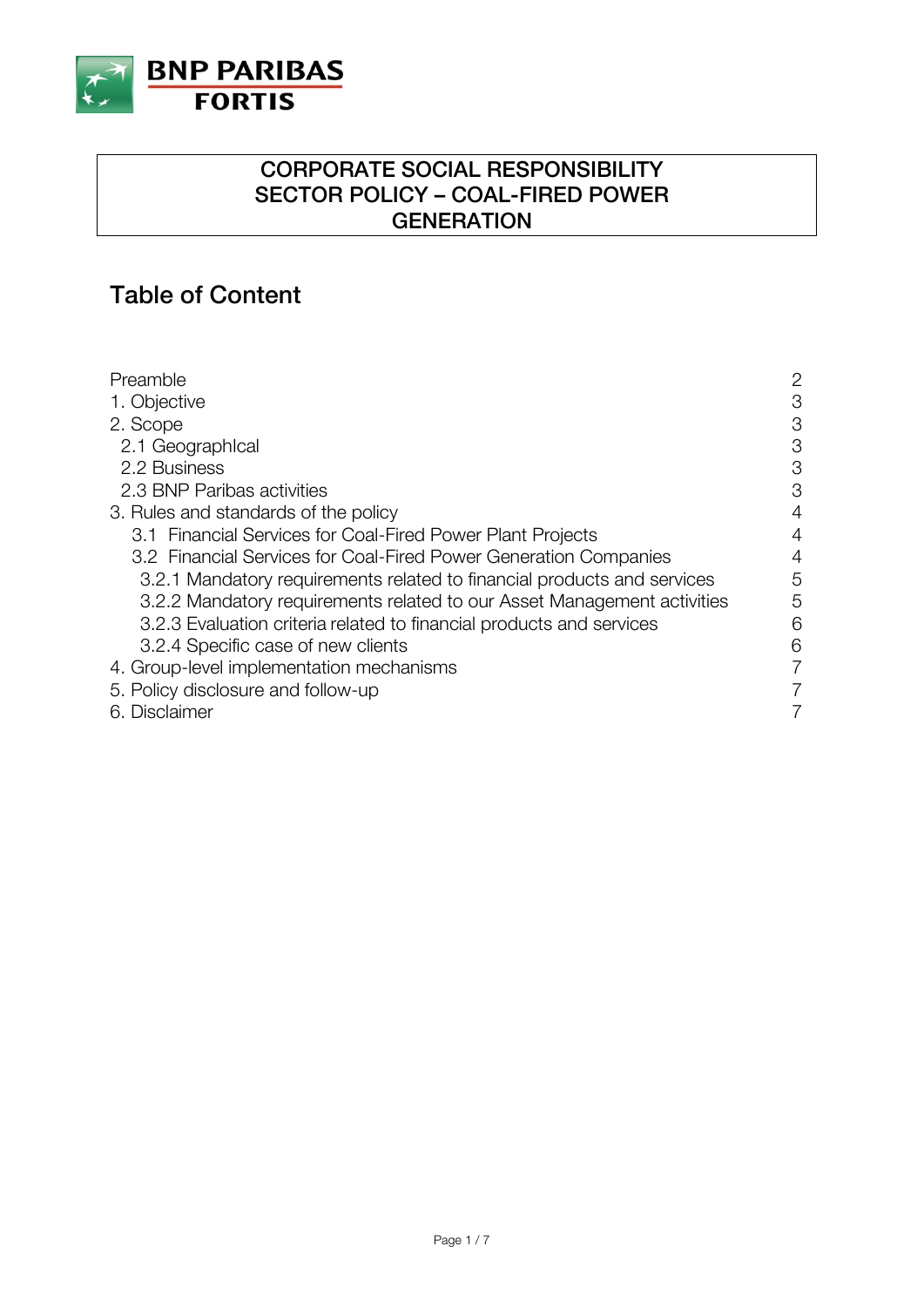

### **CORPORATE SOCIAL RESPONSIBILITY SECTOR POLICY – COAL-FIRED POWER GENERATION**

# **Table of Content**

| Preamble                                                                | 2 |
|-------------------------------------------------------------------------|---|
| 1. Objective                                                            | 3 |
| 2. Scope                                                                | 3 |
| 2.1 Geographical                                                        | 3 |
| 2.2 Business                                                            | 3 |
| 2.3 BNP Paribas activities                                              | 3 |
| 3. Rules and standards of the policy                                    | 4 |
| 3.1 Financial Services for Coal-Fired Power Plant Projects              | 4 |
| 3.2 Financial Services for Coal-Fired Power Generation Companies        | 4 |
| 3.2.1 Mandatory requirements related to financial products and services | 5 |
| 3.2.2 Mandatory requirements related to our Asset Management activities | 5 |
| 3.2.3 Evaluation criteria related to financial products and services    | 6 |
| 3.2.4 Specific case of new clients                                      | 6 |
| 4. Group-level implementation mechanisms                                | 7 |
| 5. Policy disclosure and follow-up                                      | 7 |
| 6. Disclaimer                                                           |   |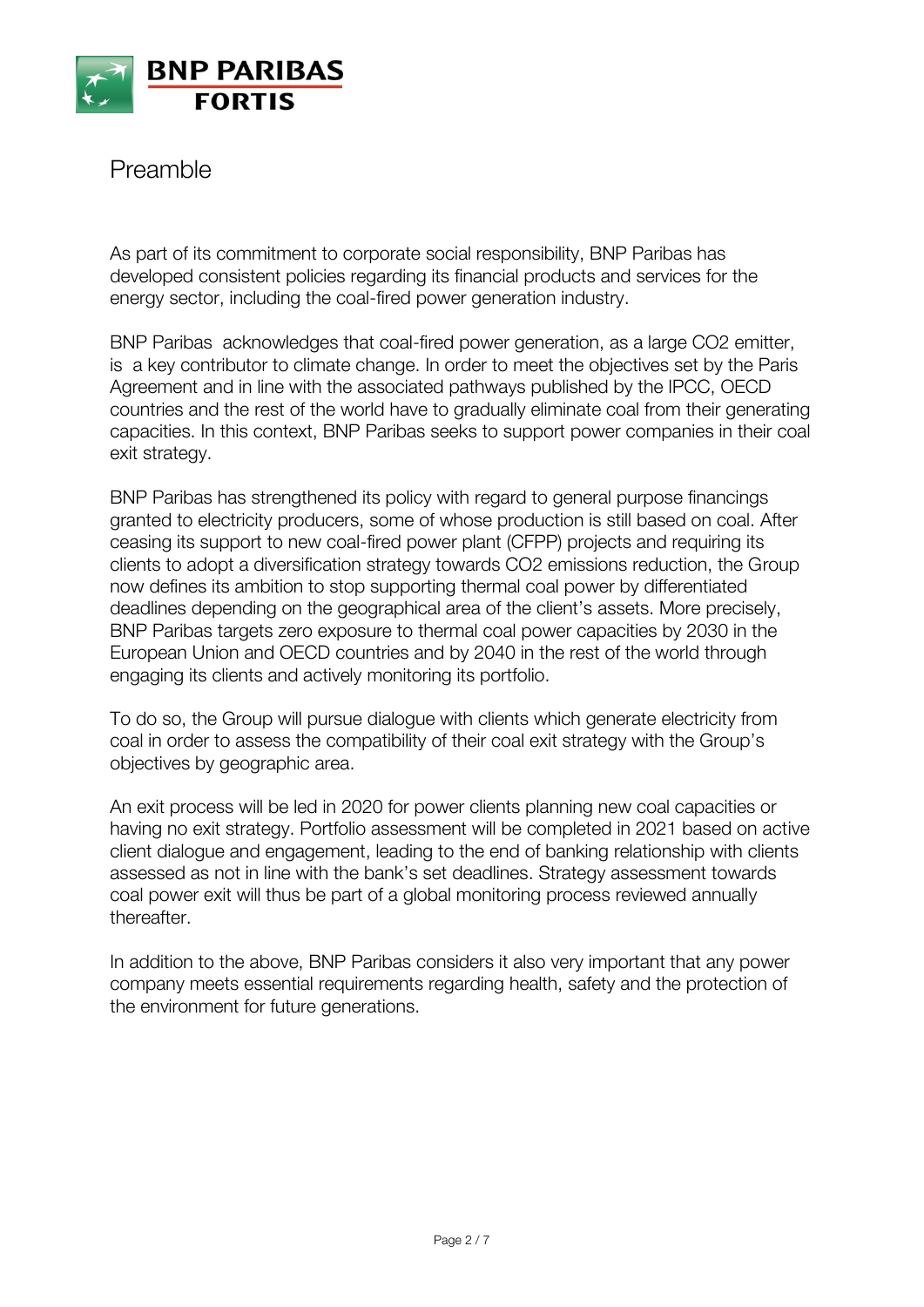

Preamble

As part of its commitment to corporate social responsibility, BNP Paribas has developed consistent policies regarding its financial products and services for the energy sector, including the coal-fired power generation industry.

BNP Paribas acknowledges that coal-fired power generation, as a large CO2 emitter, is a key contributor to climate change. In order to meet the objectives set by the Paris Agreement and in line with the associated pathways published by the IPCC, OECD countries and the rest of the world have to gradually eliminate coal from their generating capacities. In this context, BNP Paribas seeks to support power companies in their coal exit strategy.

BNP Paribas has strengthened its policy with regard to general purpose financings granted to electricity producers, some of whose production is still based on coal. After ceasing its support to new coal-fired power plant (CFPP) projects and requiring its clients to adopt a diversification strategy towards CO2 emissions reduction, the Group now defines its ambition to stop supporting thermal coal power by differentiated deadlines depending on the geographical area of the client's assets. More precisely, BNP Paribas targets zero exposure to thermal coal power capacities by 2030 in the European Union and OECD countries and by 2040 in the rest of the world through engaging its clients and actively monitoring its portfolio.

To do so, the Group will pursue dialogue with clients which generate electricity from coal in order to assess the compatibility of their coal exit strategy with the Group's objectives by geographic area.

An exit process will be led in 2020 for power clients planning new coal capacities or having no exit strategy. Portfolio assessment will be completed in 2021 based on active client dialogue and engagement, leading to the end of banking relationship with clients assessed as not in line with the bank's set deadlines. Strategy assessment towards coal power exit will thus be part of a global monitoring process reviewed annually thereafter.

In addition to the above, BNP Paribas considers it also very important that any power company meets essential requirements regarding health, safety and the protection of the environment for future generations.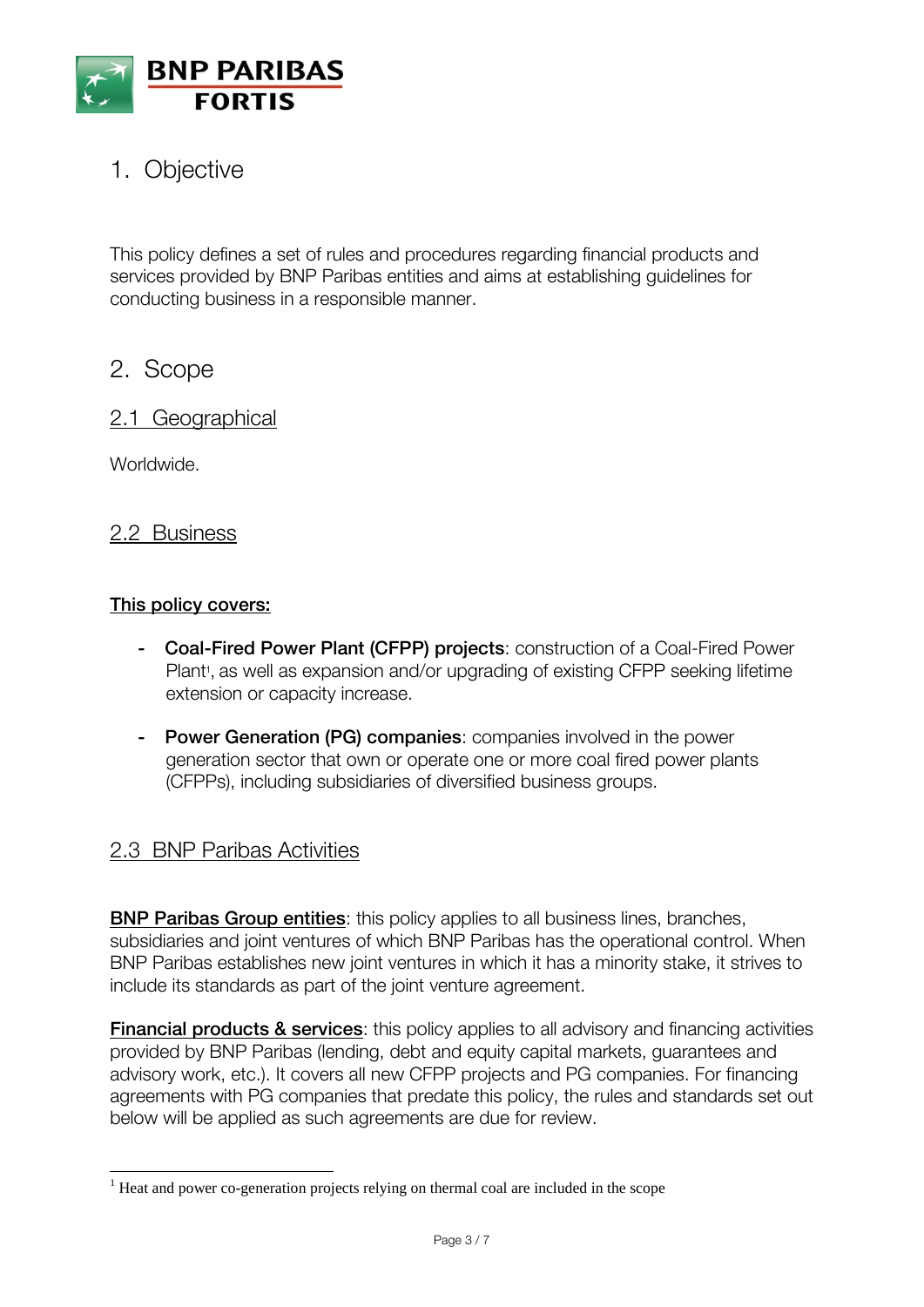

# 1. Objective

This policy defines a set of rules and procedures regarding financial products and services provided by BNP Paribas entities and aims at establishing guidelines for conducting business in a responsible manner.

## 2. Scope

#### 2.1 Geographical

Worldwide.

 $\overline{\phantom{a}}$ 

#### 2.2 Business

#### **This policy covers:**

- **- Coal-Fired Power Plant (CFPP) projects**: construction of a Coal-Fired Power Plant<sup>1</sup>, as well as expansion and/or upgrading of existing CFPP seeking lifetime extension or capacity increase.
- **- Power Generation (PG) companies**: companies involved in the power generation sector that own or operate one or more coal fired power plants (CFPPs), including subsidiaries of diversified business groups.

### 2.3 BNP Paribas Activities

**BNP Paribas Group entities**: this policy applies to all business lines, branches, subsidiaries and joint ventures of which BNP Paribas has the operational control. When BNP Paribas establishes new joint ventures in which it has a minority stake, it strives to include its standards as part of the joint venture agreement.

**Financial products & services:** this policy applies to all advisory and financing activities provided by BNP Paribas (lending, debt and equity capital markets, guarantees and advisory work, etc.). It covers all new CFPP projects and PG companies. For financing agreements with PG companies that predate this policy, the rules and standards set out below will be applied as such agreements are due for review.

 $1$  Heat and power co-generation projects relying on thermal coal are included in the scope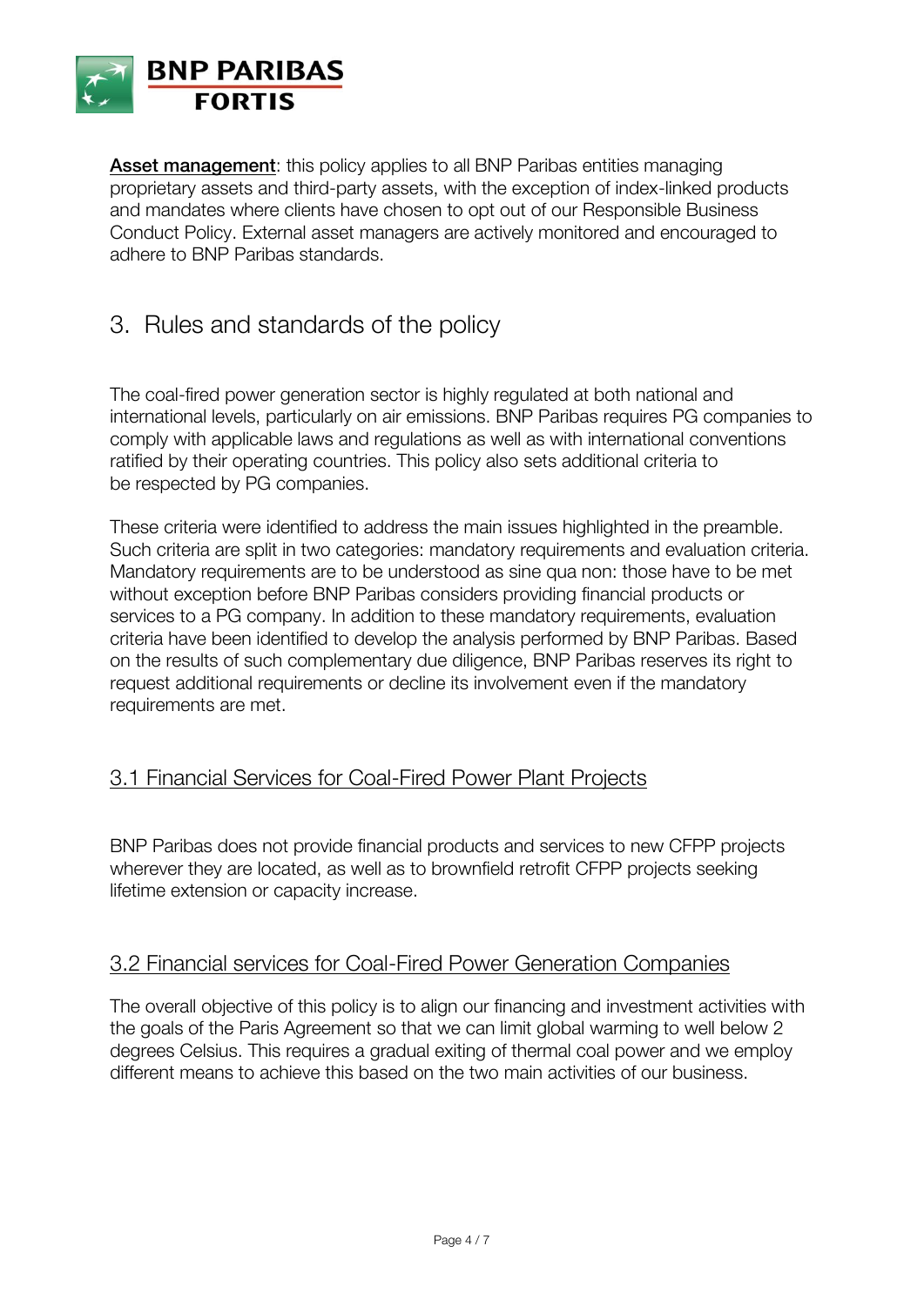

**Asset management:** this policy applies to all BNP Paribas entities managing proprietary assets and third-party assets, with the exception of index-linked products and mandates where clients have chosen to opt out of our Responsible Business Conduct Policy. External asset managers are actively monitored and encouraged to adhere to BNP Paribas standards.

### 3. Rules and standards of the policy

The coal-fired power generation sector is highly regulated at both national and international levels, particularly on air emissions. BNP Paribas requires PG companies to comply with applicable laws and regulations as well as with international conventions ratified by their operating countries. This policy also sets additional criteria to be respected by PG companies.

These criteria were identified to address the main issues highlighted in the preamble. Such criteria are split in two categories: mandatory requirements and evaluation criteria. Mandatory requirements are to be understood as sine qua non: those have to be met without exception before BNP Paribas considers providing financial products or services to a PG company. In addition to these mandatory requirements, evaluation criteria have been identified to develop the analysis performed by BNP Paribas. Based on the results of such complementary due diligence, BNP Paribas reserves its right to request additional requirements or decline its involvement even if the mandatory requirements are met.

### 3.1 Financial Services for Coal-Fired Power Plant Projects

BNP Paribas does not provide financial products and services to new CFPP projects wherever they are located, as well as to brownfield retrofit CFPP projects seeking lifetime extension or capacity increase.

### 3.2 Financial services for Coal-Fired Power Generation Companies

The overall objective of this policy is to align our financing and investment activities with the goals of the Paris Agreement so that we can limit global warming to well below 2 degrees Celsius. This requires a gradual exiting of thermal coal power and we employ different means to achieve this based on the two main activities of our business.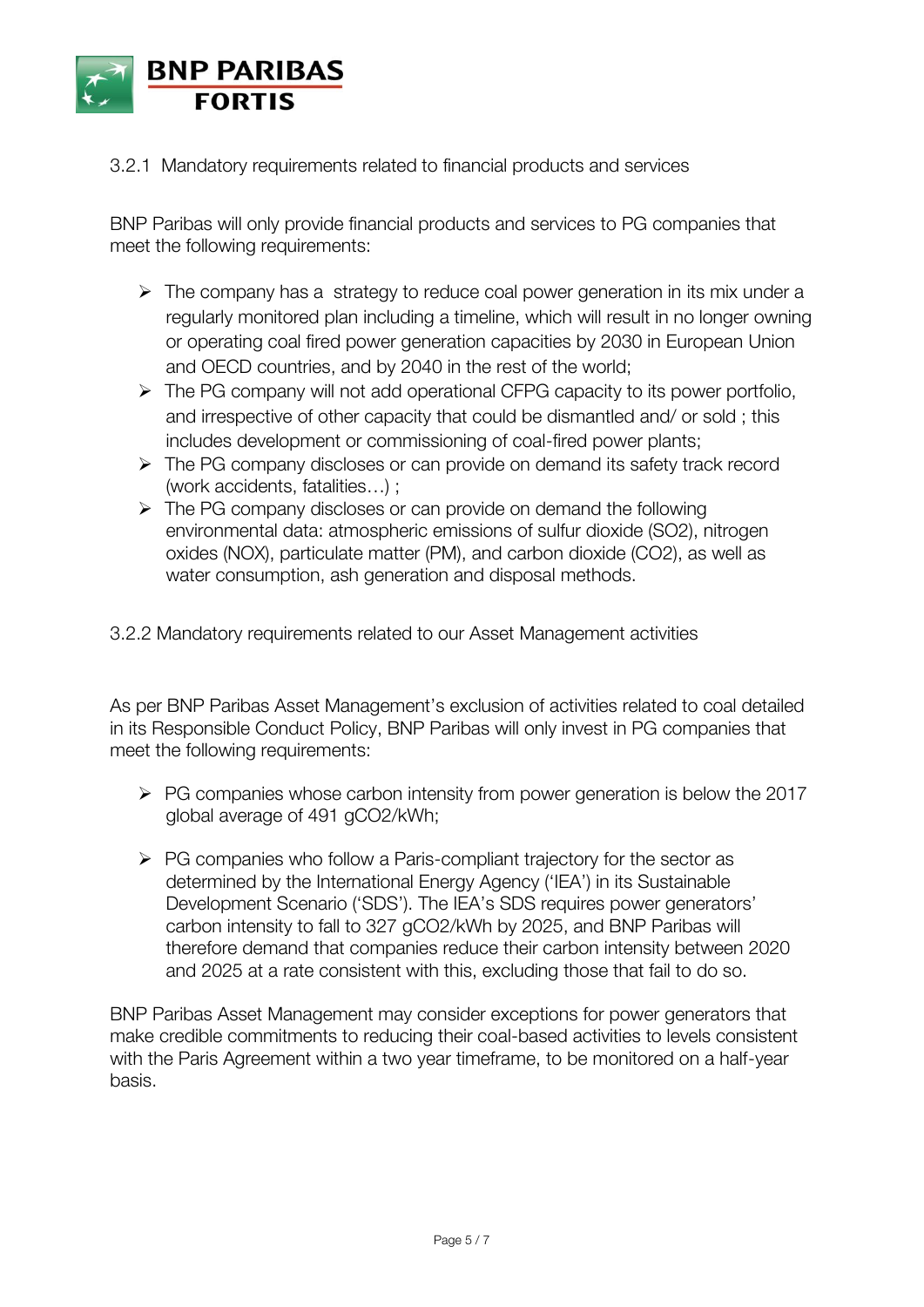

3.2.1 Mandatory requirements related to financial products and services

BNP Paribas will only provide financial products and services to PG companies that meet the following requirements:

- $\triangleright$  The company has a strategy to reduce coal power generation in its mix under a regularly monitored plan including a timeline, which will result in no longer owning or operating coal fired power generation capacities by 2030 in European Union and OECD countries, and by 2040 in the rest of the world;
- > The PG company will not add operational CFPG capacity to its power portfolio, and irrespective of other capacity that could be dismantled and/ or sold ; this includes development or commissioning of coal-fired power plants;
- The PG company discloses or can provide on demand its safety track record (work accidents, fatalities…) ;
- $\triangleright$  The PG company discloses or can provide on demand the following environmental data: atmospheric emissions of sulfur dioxide (SO2), nitrogen oxides (NOX), particulate matter (PM), and carbon dioxide (CO2), as well as water consumption, ash generation and disposal methods.

3.2.2 Mandatory requirements related to our Asset Management activities

As per BNP Paribas Asset Management's exclusion of activities related to coal detailed in its Responsible Conduct Policy, BNP Paribas will only invest in PG companies that meet the following requirements:

- $\triangleright$  PG companies whose carbon intensity from power generation is below the 2017 global average of 491 gCO2/kWh;
- $\triangleright$  PG companies who follow a Paris-compliant trajectory for the sector as determined by the International Energy Agency ('IEA') in its Sustainable Development Scenario ('SDS'). The IEA's SDS requires power generators' carbon intensity to fall to 327 gCO2/kWh by 2025, and BNP Paribas will therefore demand that companies reduce their carbon intensity between 2020 and 2025 at a rate consistent with this, excluding those that fail to do so.

BNP Paribas Asset Management may consider exceptions for power generators that make credible commitments to reducing their coal-based activities to levels consistent with the Paris Agreement within a two year timeframe, to be monitored on a half-year basis.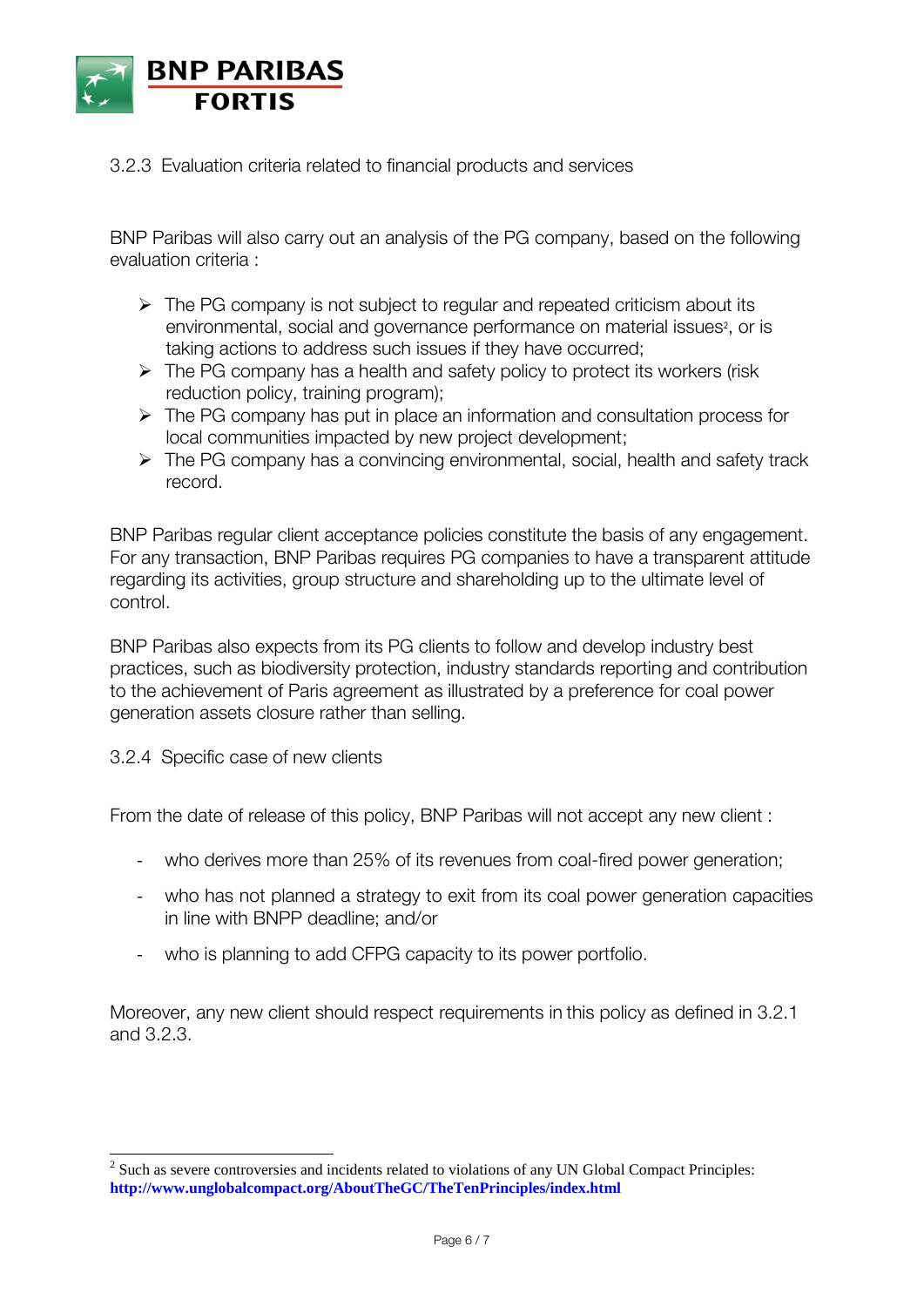

#### 3.2.3 Evaluation criteria related to financial products and services

BNP Paribas will also carry out an analysis of the PG company, based on the following evaluation criteria :

- $\triangleright$  The PG company is not subject to regular and repeated criticism about its environmental, social and governance performance on material issues<sup>2</sup>, or is taking actions to address such issues if they have occurred;
- $\triangleright$  The PG company has a health and safety policy to protect its workers (risk) reduction policy, training program);
- $\triangleright$  The PG company has put in place an information and consultation process for local communities impacted by new project development;
- $\triangleright$  The PG company has a convincing environmental, social, health and safety track record.

BNP Paribas regular client acceptance policies constitute the basis of any engagement. For any transaction, BNP Paribas requires PG companies to have a transparent attitude regarding its activities, group structure and shareholding up to the ultimate level of control.

BNP Paribas also expects from its PG clients to follow and develop industry best practices, such as biodiversity protection, industry standards reporting and contribution to the achievement of Paris agreement as illustrated by a preference for coal power generation assets closure rather than selling.

3.2.4 Specific case of new clients

From the date of release of this policy, BNP Paribas will not accept any new client :

- who derives more than 25% of its revenues from coal-fired power generation;
- who has not planned a strategy to exit from its coal power generation capacities in line with BNPP deadline; and/or
- who is planning to add CFPG capacity to its power portfolio.

Moreover, any new client should respect requirements in this policy as defined in 3.2.1 and 3.2.3.

<sup>&</sup>lt;sup>2</sup> Such as severe controversies and incidents related to violations of any UN Global Compact Principles: **<http://www.unglobalcompact.org/AboutTheGC/TheTenPrinciples/index.html>**